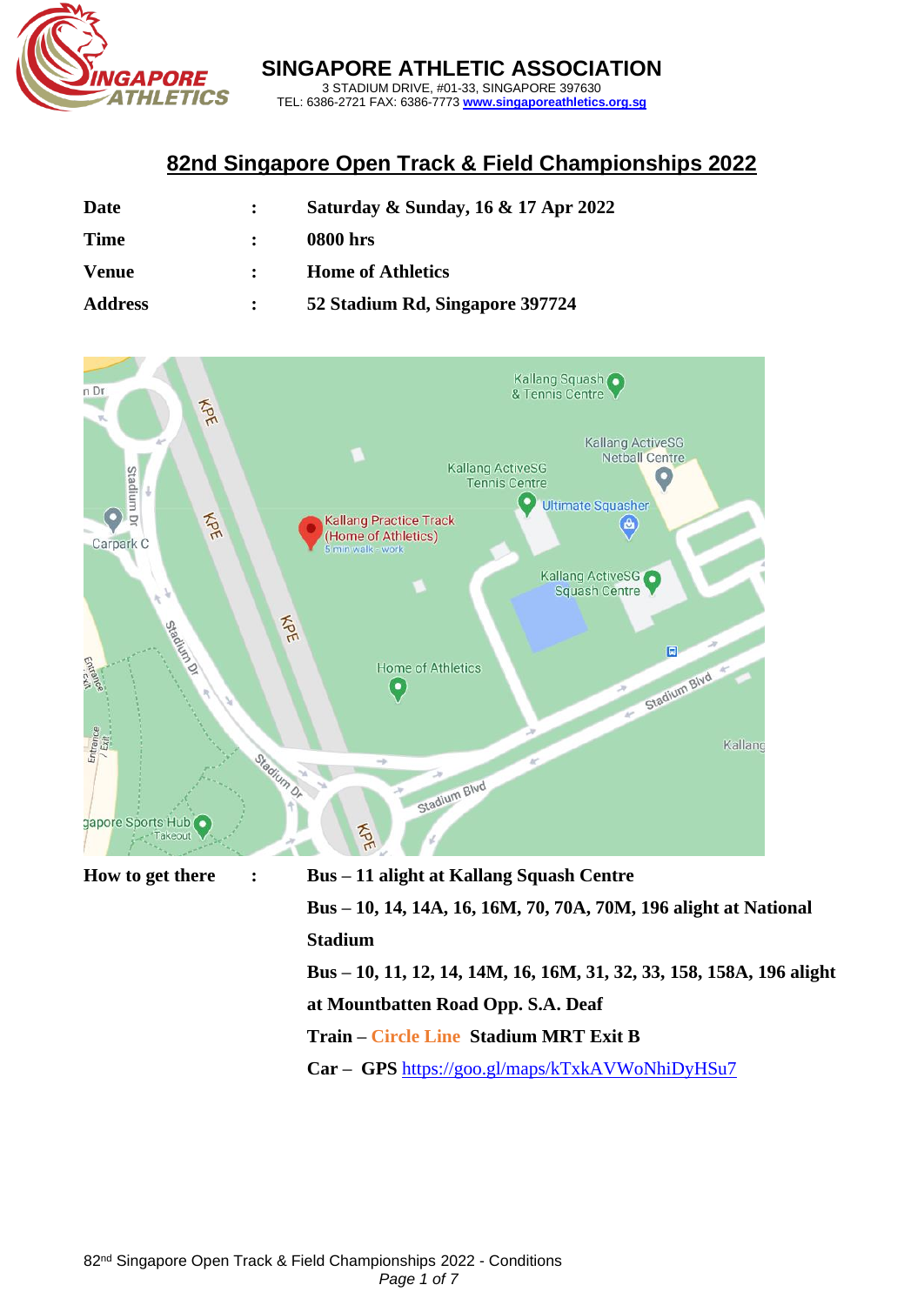

**SINGAPORE ATHLETIC ASSOCIATION** 3 STADIUM DRIVE, #01-33, SINGAPORE 397630

TEL: 6386-2721 FAX: 6386-7773 **[www.singaporeathletics.org.sg](http://www.singaporeathletics.org.sg/)**

# **82nd Singapore Open Track & Field Championships 2022**

| Date           | Saturday & Sunday, 16 & 17 Apr 2022 |
|----------------|-------------------------------------|
| <b>Time</b>    | <b>0800 hrs</b>                     |
| <b>Venue</b>   | <b>Home of Athletics</b>            |
| <b>Address</b> | 52 Stadium Rd, Singapore 397724     |



**Bus – 10, 14, 14A, 16, 16M, 70, 70A, 70M, 196 alight at National Stadium Bus – 10, 11, 12, 14, 14M, 16, 16M, 31, 32, 33, 158, 158A, 196 alight at Mountbatten Road Opp. S.A. Deaf Train – Circle Line Stadium MRT Exit B**

**Car – GPS** <https://goo.gl/maps/kTxkAVWoNhiDyHSu7>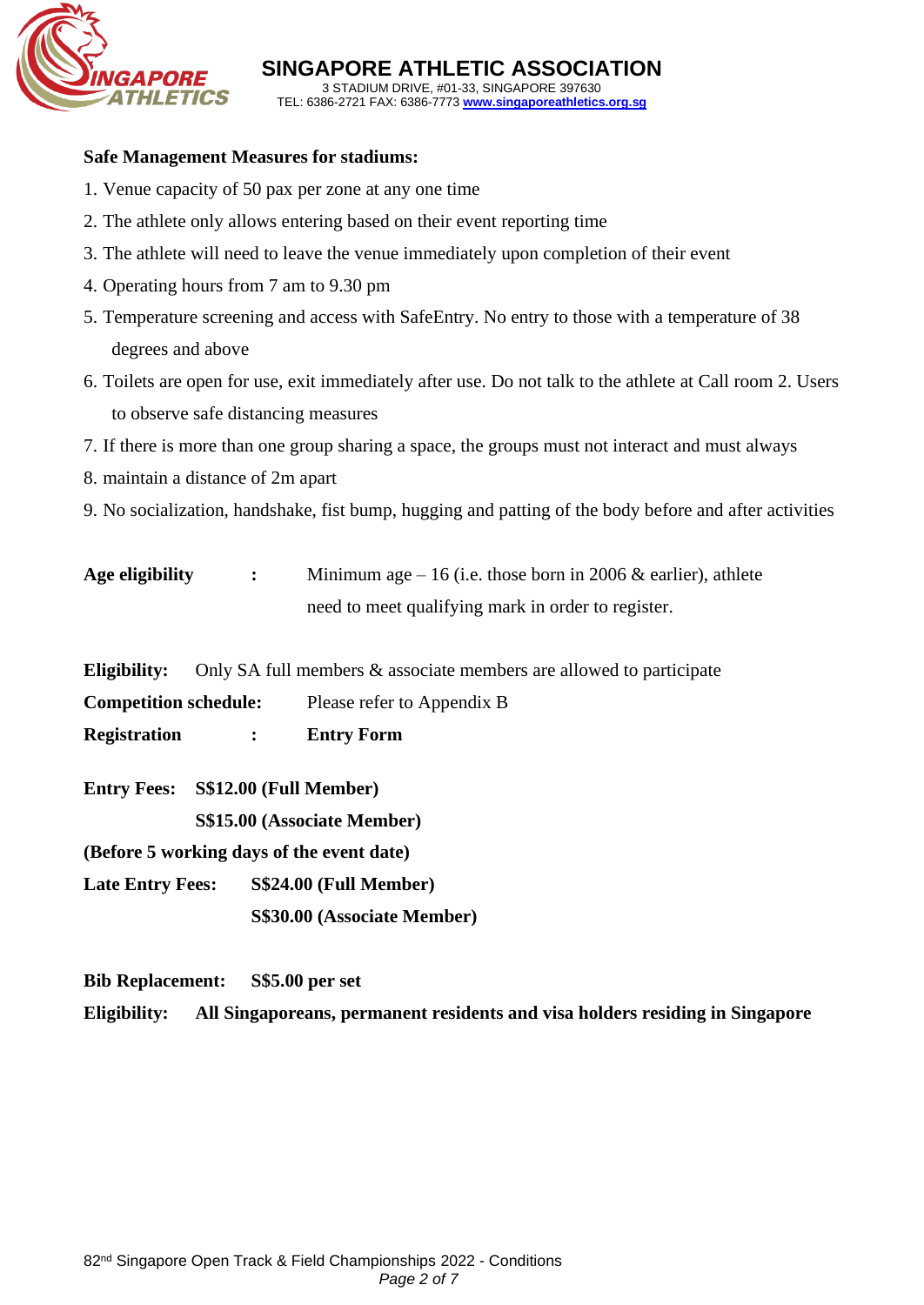

**SINGAPORE ATHLETIC ASSOCIATION** 3 STADIUM DRIVE, #01-33, SINGAPORE 397630 TEL: 6386-2721 FAX: 6386-7773 **[www.singaporeathletics.org.sg](http://www.singaporeathletics.org.sg/)**

#### **Safe Management Measures for stadiums:**

- 1. Venue capacity of 50 pax per zone at any one time
- 2. The athlete only allows entering based on their event reporting time
- 3. The athlete will need to leave the venue immediately upon completion of their event
- 4. Operating hours from 7 am to 9.30 pm
- 5. Temperature screening and access with SafeEntry. No entry to those with a temperature of 38 degrees and above
- 6. Toilets are open for use, exit immediately after use. Do not talk to the athlete at Call room 2. Users to observe safe distancing measures
- 7. If there is more than one group sharing a space, the groups must not interact and must always
- 8. maintain a distance of 2m apart
- 9. No socialization, handshake, fist bump, hugging and patting of the body before and after activities

| Age eligibility | Minimum age $-16$ (i.e. those born in 2006 & earlier), athlete |
|-----------------|----------------------------------------------------------------|
|                 | need to meet qualifying mark in order to register.             |

**Eligibility:** Only SA full members & associate members are allowed to participate

**Competition schedule:** Please refer to Appendix B

**Registration : Entry Form**

**Entry Fees: S\$12.00 (Full Member) S\$15.00 (Associate Member)**

**(Before 5 working days of the event date)**

**Late Entry Fees: S\$24.00 (Full Member) S\$30.00 (Associate Member)**

**Bib Replacement: S\$5.00 per set**

**Eligibility: All Singaporeans, permanent residents and visa holders residing in Singapore**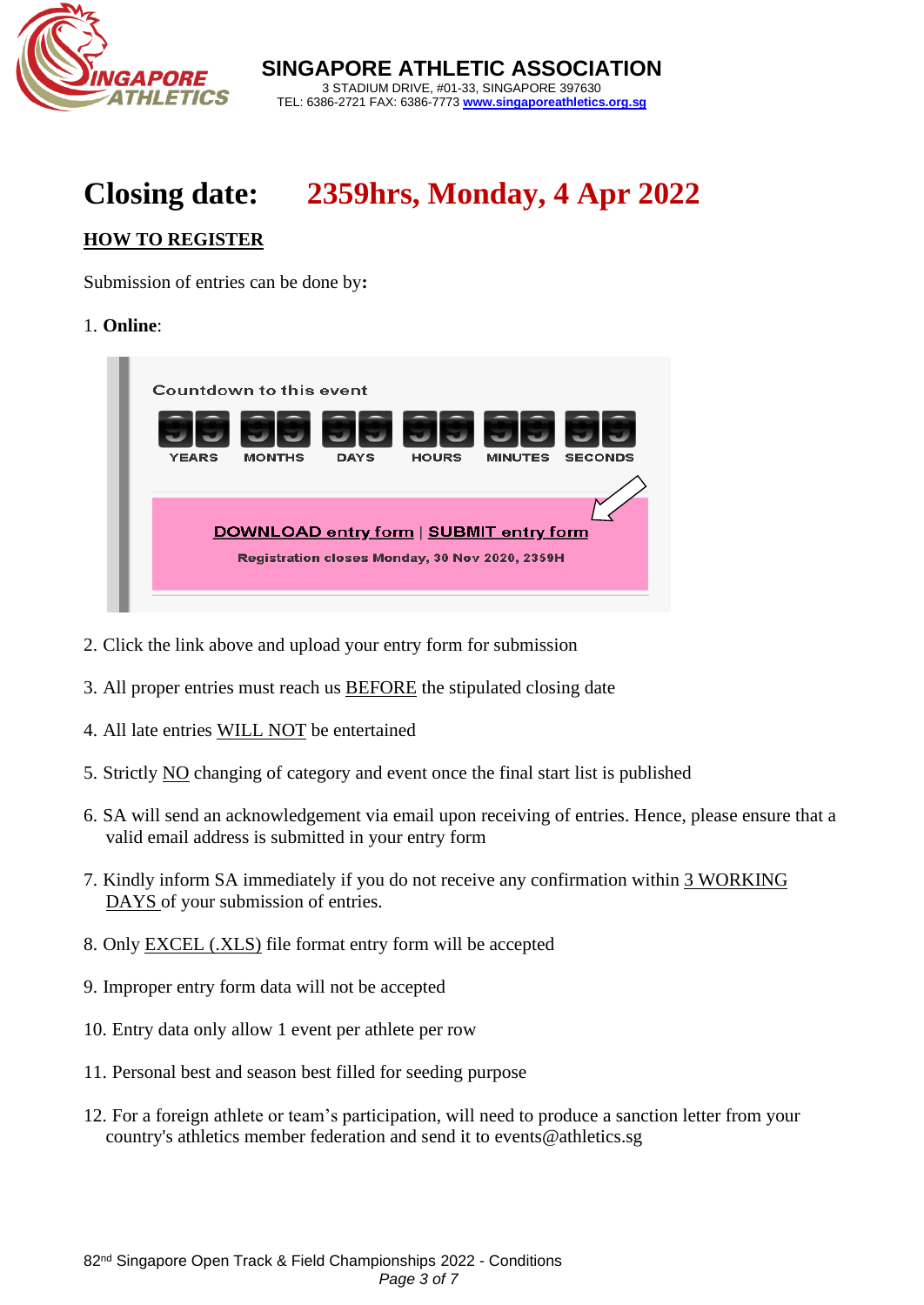

**SINGAPORE ATHLETIC ASSOCIATION** 3 STADIUM DRIVE, #01-33, SINGAPORE 397630 TEL: 6386-2721 FAX: 6386-7773 **[www.singaporeathletics.org.sg](http://www.singaporeathletics.org.sg/)**

# **Closing date: 2359hrs, Monday, 4 Apr 2022**

# **HOW TO REGISTER**

Submission of entries can be done by**:** 

#### 1. **Online**:



- 2. Click the link above and upload your entry form for submission
- 3. All proper entries must reach us BEFORE the stipulated closing date
- 4. All late entries WILL NOT be entertained
- 5. Strictly NO changing of category and event once the final start list is published
- 6. SA will send an acknowledgement via email upon receiving of entries. Hence, please ensure that a valid email address is submitted in your entry form
- 7. Kindly inform SA immediately if you do not receive any confirmation within 3 WORKING DAYS of your submission of entries.
- 8. Only EXCEL (.XLS) file format entry form will be accepted
- 9. Improper entry form data will not be accepted
- 10. Entry data only allow 1 event per athlete per row
- 11. Personal best and season best filled for seeding purpose
- 12. For a foreign athlete or team's participation, will need to produce a sanction letter from your country's athletics member federation and send it to [events@athletics.sg](mailto:events@athletics.sg)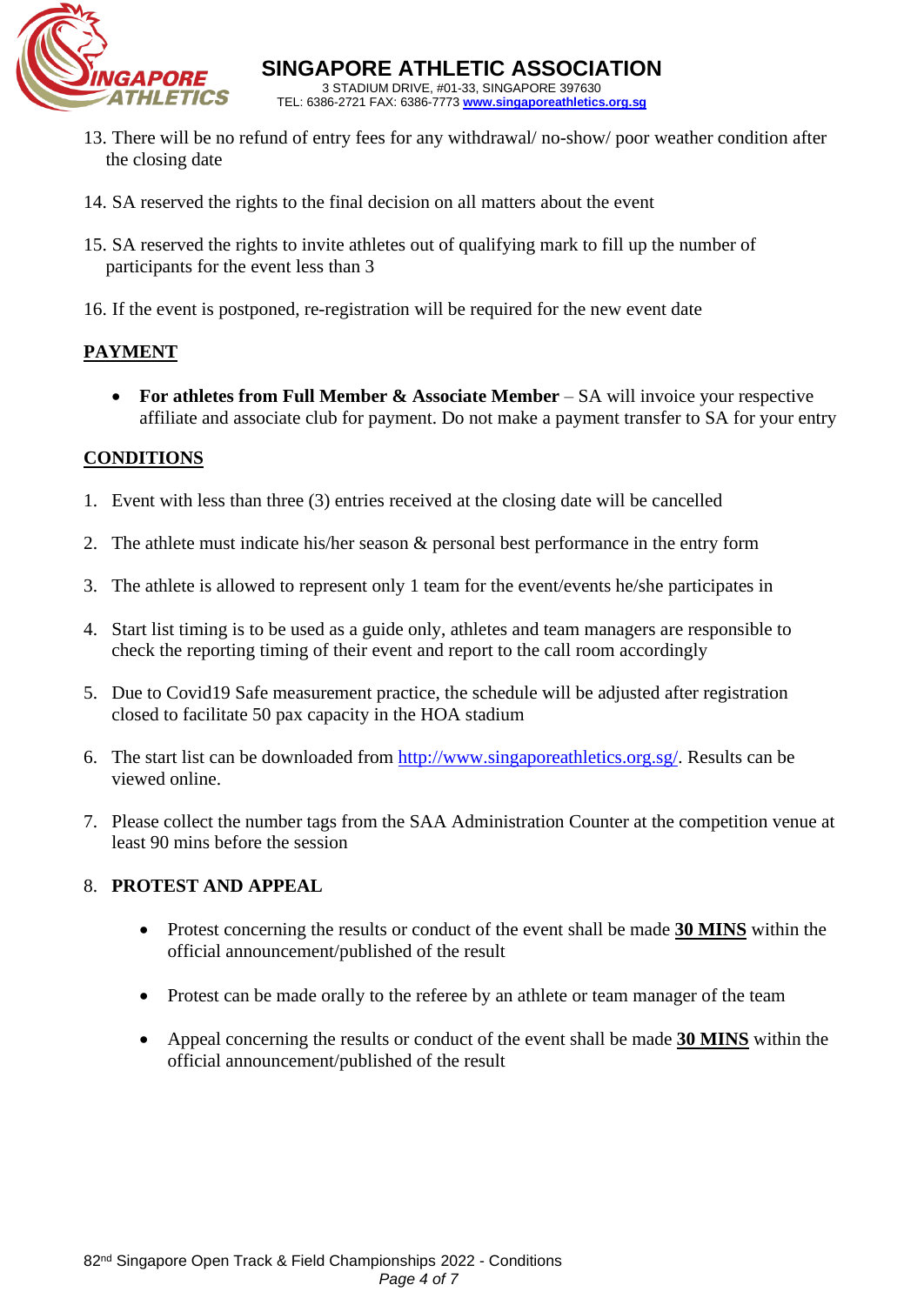

**SINGAPORE ATHLETIC ASSOCIATION** 3 STADIUM DRIVE, #01-33, SINGAPORE 397630 TEL: 6386-2721 FAX: 6386-7773 **[www.singaporeathletics.org.sg](http://www.singaporeathletics.org.sg/)**

- 13. There will be no refund of entry fees for any withdrawal/ no-show/ poor weather condition after the closing date
- 14. SA reserved the rights to the final decision on all matters about the event
- 15. SA reserved the rights to invite athletes out of qualifying mark to fill up the number of participants for the event less than 3
- 16. If the event is postponed, re-registration will be required for the new event date

# **PAYMENT**

• **For athletes from Full Member & Associate Member** – SA will invoice your respective affiliate and associate club for payment. Do not make a payment transfer to SA for your entry

# **CONDITIONS**

- 1. Event with less than three (3) entries received at the closing date will be cancelled
- 2. The athlete must indicate his/her season & personal best performance in the entry form
- 3. The athlete is allowed to represent only 1 team for the event/events he/she participates in
- 4. Start list timing is to be used as a guide only, athletes and team managers are responsible to check the reporting timing of their event and report to the call room accordingly
- 5. Due to Covid19 Safe measurement practice, the schedule will be adjusted after registration closed to facilitate 50 pax capacity in the HOA stadium
- 6. The start list can be downloaded from [http://www.singaporeathletics.org.sg/.](http://www.singaporeathletics.org.sg/) Results can be viewed online.
- 7. Please collect the number tags from the SAA Administration Counter at the competition venue at least 90 mins before the session

# 8. **PROTEST AND APPEAL**

- Protest concerning the results or conduct of the event shall be made **30 MINS** within the official announcement/published of the result
- Protest can be made orally to the referee by an athlete or team manager of the team
- Appeal concerning the results or conduct of the event shall be made **30 MINS** within the official announcement/published of the result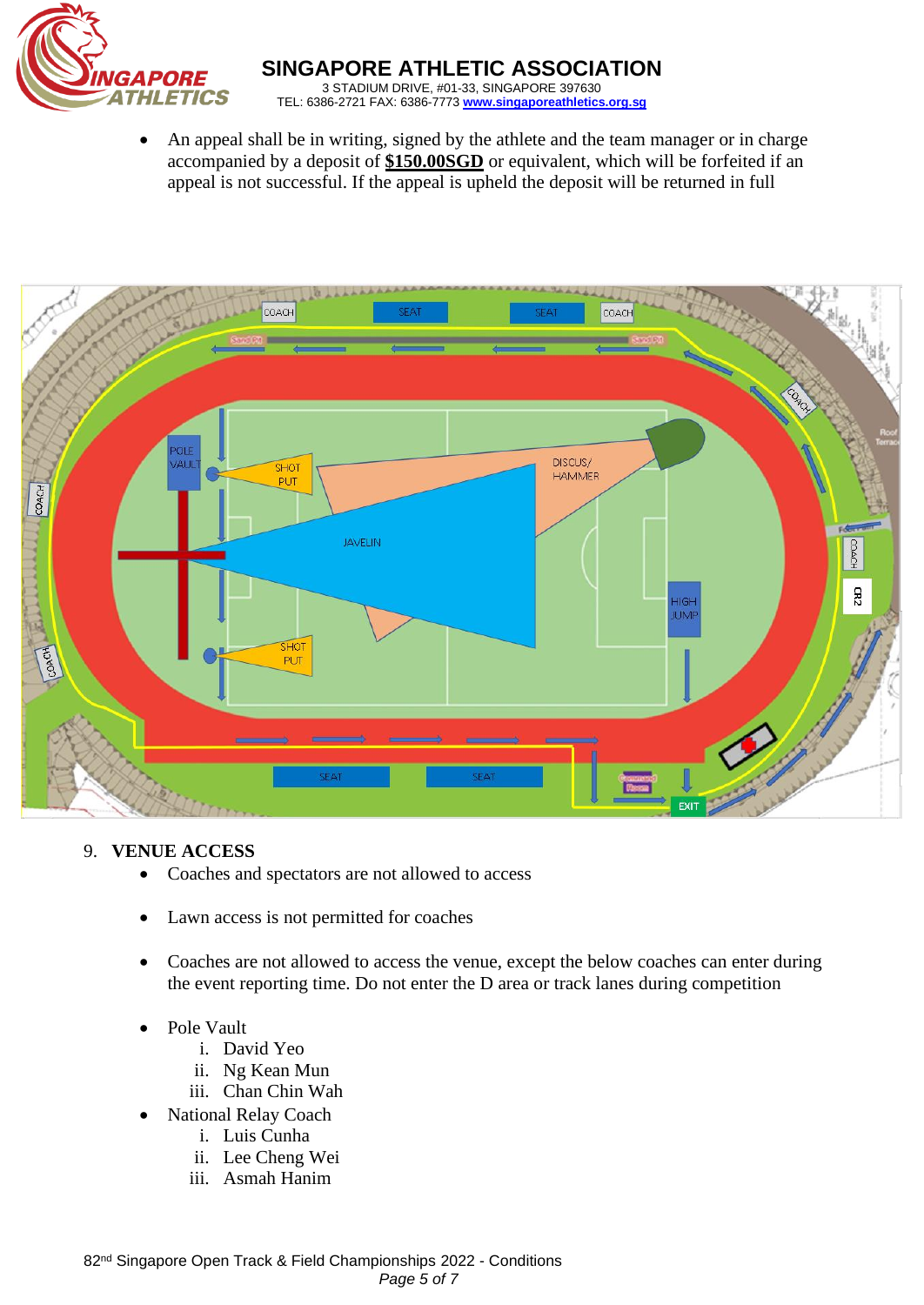

• An appeal shall be in writing, signed by the athlete and the team manager or in charge accompanied by a deposit of **\$150.00SGD** or equivalent, which will be forfeited if an appeal is not successful. If the appeal is upheld the deposit will be returned in full



# 9. **VENUE ACCESS**

- Coaches and spectators are not allowed to access
- Lawn access is not permitted for coaches
- Coaches are not allowed to access the venue, except the below coaches can enter during the event reporting time. Do not enter the D area or track lanes during competition
- Pole Vault
	- i. David Yeo
	- ii. Ng Kean Mun
	- iii. Chan Chin Wah
	- National Relay Coach
		- i. Luis Cunha
		- ii. Lee Cheng Wei
		- iii. Asmah Hanim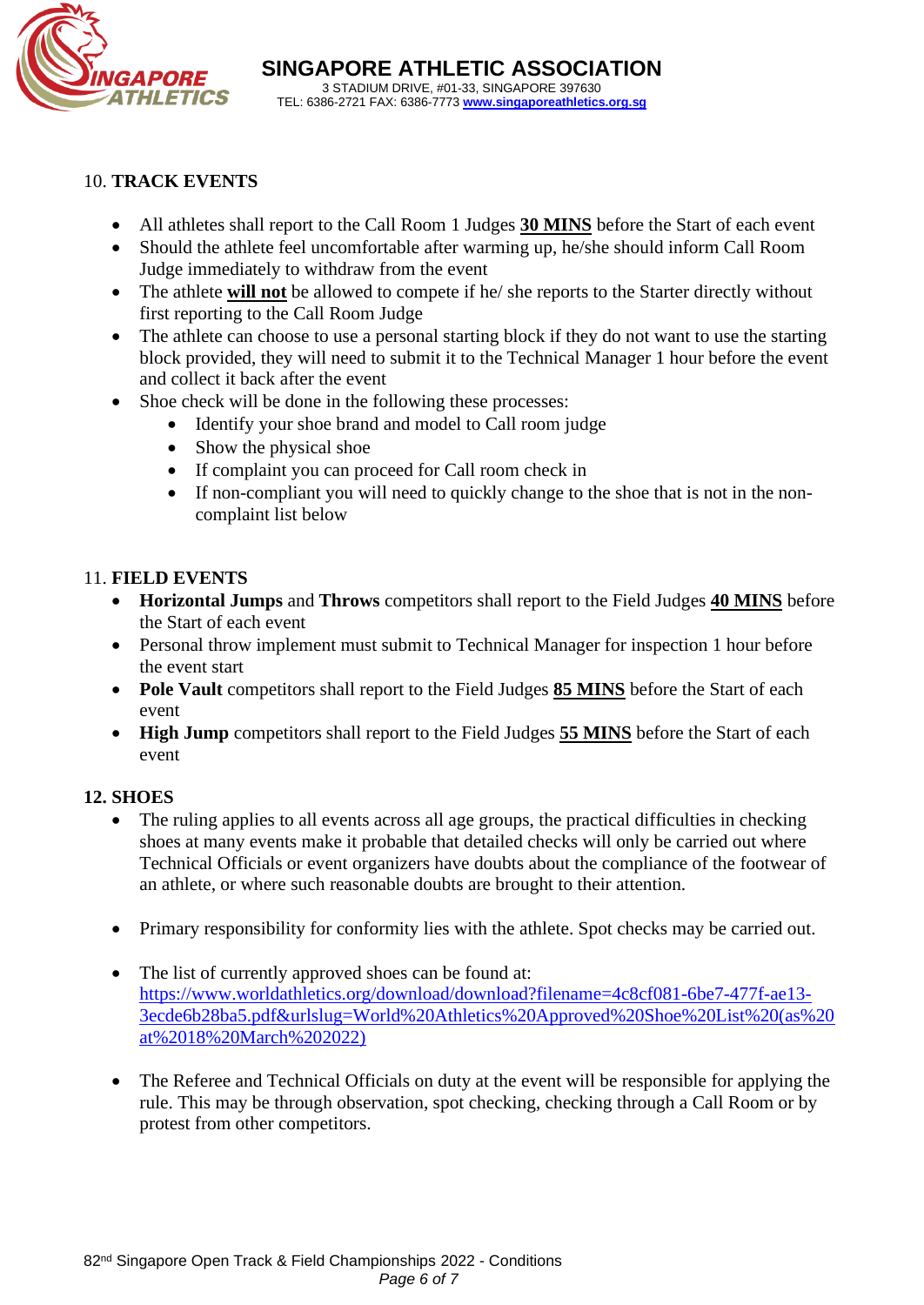

#### 10. **TRACK EVENTS**

- All athletes shall report to the Call Room 1 Judges **30 MINS** before the Start of each event
- Should the athlete feel uncomfortable after warming up, he/she should inform Call Room Judge immediately to withdraw from the event
- The athlete **will not** be allowed to compete if he/ she reports to the Starter directly without first reporting to the Call Room Judge
- The athlete can choose to use a personal starting block if they do not want to use the starting block provided, they will need to submit it to the Technical Manager 1 hour before the event and collect it back after the event
- Shoe check will be done in the following these processes:
	- Identify your shoe brand and model to Call room judge
	- Show the physical shoe
	- If complaint you can proceed for Call room check in
	- If non-compliant you will need to quickly change to the shoe that is not in the noncomplaint list below

#### 11. **FIELD EVENTS**

- **Horizontal Jumps** and **Throws** competitors shall report to the Field Judges **40 MINS** before the Start of each event
- Personal throw implement must submit to Technical Manager for inspection 1 hour before the event start
- **Pole Vault** competitors shall report to the Field Judges **85 MINS** before the Start of each event
- **High Jump** competitors shall report to the Field Judges **55 MINS** before the Start of each event

#### **12. SHOES**

- The ruling applies to all events across all age groups, the practical difficulties in checking shoes at many events make it probable that detailed checks will only be carried out where Technical Officials or event organizers have doubts about the compliance of the footwear of an athlete, or where such reasonable doubts are brought to their attention.
- Primary responsibility for conformity lies with the athlete. Spot checks may be carried out.
- The list of currently approved shoes can be found at: [https://www.worldathletics.org/download/download?filename=4c8cf081-6be7-477f-ae13-](https://www.worldathletics.org/download/download?filename=4c8cf081-6be7-477f-ae13-3ecde6b28ba5.pdf&urlslug=World%20Athletics%20Approved%20Shoe%20List%20(as%20at%2018%20March%202022)) [3ecde6b28ba5.pdf&urlslug=World%20Athletics%20Approved%20Shoe%20List%20\(as%20](https://www.worldathletics.org/download/download?filename=4c8cf081-6be7-477f-ae13-3ecde6b28ba5.pdf&urlslug=World%20Athletics%20Approved%20Shoe%20List%20(as%20at%2018%20March%202022)) [at%2018%20March%202022\)](https://www.worldathletics.org/download/download?filename=4c8cf081-6be7-477f-ae13-3ecde6b28ba5.pdf&urlslug=World%20Athletics%20Approved%20Shoe%20List%20(as%20at%2018%20March%202022))
- The Referee and Technical Officials on duty at the event will be responsible for applying the rule. This may be through observation, spot checking, checking through a Call Room or by protest from other competitors.